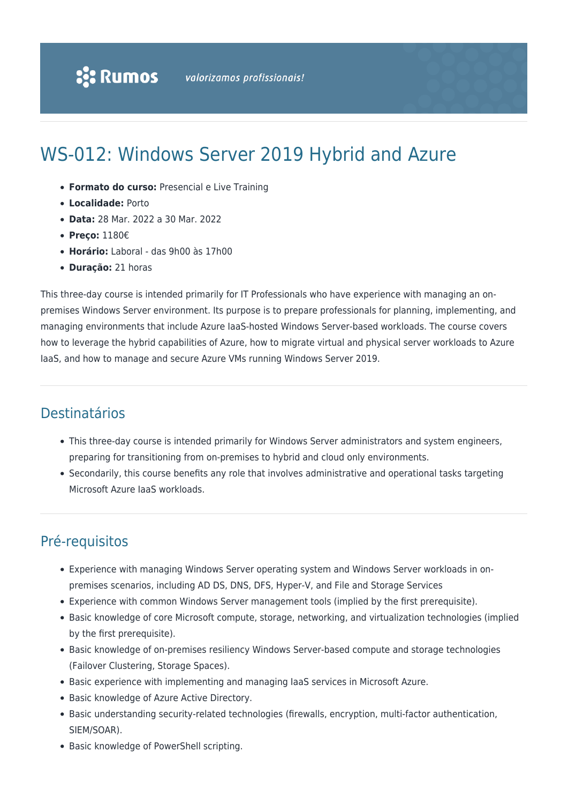# WS-012: Windows Server 2019 Hybrid and Azure

- **Formato do curso:** Presencial e Live Training
- **Localidade:** Porto
- **Data:** 28 Mar. 2022 a 30 Mar. 2022
- **Preço:** 1180€
- **Horário:** Laboral das 9h00 às 17h00
- **Duração:** 21 horas

This three-day course is intended primarily for IT Professionals who have experience with managing an onpremises Windows Server environment. Its purpose is to prepare professionals for planning, implementing, and managing environments that include Azure IaaS-hosted Windows Server-based workloads. The course covers how to leverage the hybrid capabilities of Azure, how to migrate virtual and physical server workloads to Azure IaaS, and how to manage and secure Azure VMs running Windows Server 2019.

### Destinatários

- This three-day course is intended primarily for Windows Server administrators and system engineers, preparing for transitioning from on-premises to hybrid and cloud only environments.
- Secondarily, this course benefits any role that involves administrative and operational tasks targeting Microsoft Azure IaaS workloads.

# Pré-requisitos

- Experience with managing Windows Server operating system and Windows Server workloads in onpremises scenarios, including AD DS, DNS, DFS, Hyper-V, and File and Storage Services
- Experience with common Windows Server management tools (implied by the first prerequisite).
- Basic knowledge of core Microsoft compute, storage, networking, and virtualization technologies (implied by the first prerequisite).
- Basic knowledge of on-premises resiliency Windows Server-based compute and storage technologies (Failover Clustering, Storage Spaces).
- Basic experience with implementing and managing IaaS services in Microsoft Azure.
- Basic knowledge of Azure Active Directory.
- Basic understanding security-related technologies (firewalls, encryption, multi-factor authentication, SIEM/SOAR).
- Basic knowledge of PowerShell scripting.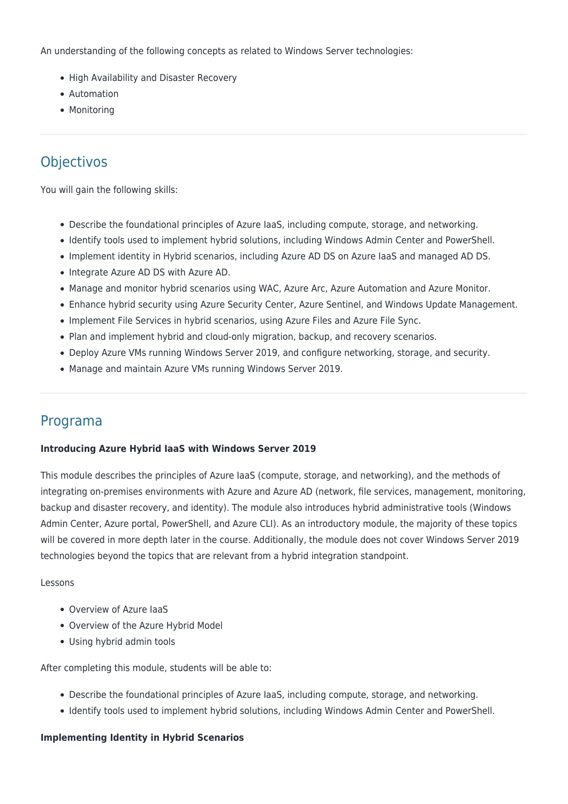An understanding of the following concepts as related to Windows Server technologies:

- High Availability and Disaster Recovery
- Automation
- Monitoring

# **Objectivos**

You will gain the following skills:

- Describe the foundational principles of Azure IaaS, including compute, storage, and networking.
- Identify tools used to implement hybrid solutions, including Windows Admin Center and PowerShell.
- Implement identity in Hybrid scenarios, including Azure AD DS on Azure IaaS and managed AD DS.
- Integrate Azure AD DS with Azure AD.
- Manage and monitor hybrid scenarios using WAC, Azure Arc, Azure Automation and Azure Monitor.
- Enhance hybrid security using Azure Security Center, Azure Sentinel, and Windows Update Management.
- Implement File Services in hybrid scenarios, using Azure Files and Azure File Sync.
- Plan and implement hybrid and cloud-only migration, backup, and recovery scenarios.
- Deploy Azure VMs running Windows Server 2019, and configure networking, storage, and security.
- Manage and maintain Azure VMs running Windows Server 2019.

### Programa

#### **Introducing Azure Hybrid IaaS with Windows Server 2019**

This module describes the principles of Azure IaaS (compute, storage, and networking), and the methods of integrating on-premises environments with Azure and Azure AD (network, file services, management, monitoring, backup and disaster recovery, and identity). The module also introduces hybrid administrative tools (Windows Admin Center, Azure portal, PowerShell, and Azure CLI). As an introductory module, the majority of these topics will be covered in more depth later in the course. Additionally, the module does not cover Windows Server 2019 technologies beyond the topics that are relevant from a hybrid integration standpoint.

#### Lessons

- Overview of Azure IaaS
- Overview of the Azure Hybrid Model
- Using hybrid admin tools

After completing this module, students will be able to:

- Describe the foundational principles of Azure IaaS, including compute, storage, and networking.
- Identify tools used to implement hybrid solutions, including Windows Admin Center and PowerShell.

#### **Implementing Identity in Hybrid Scenarios**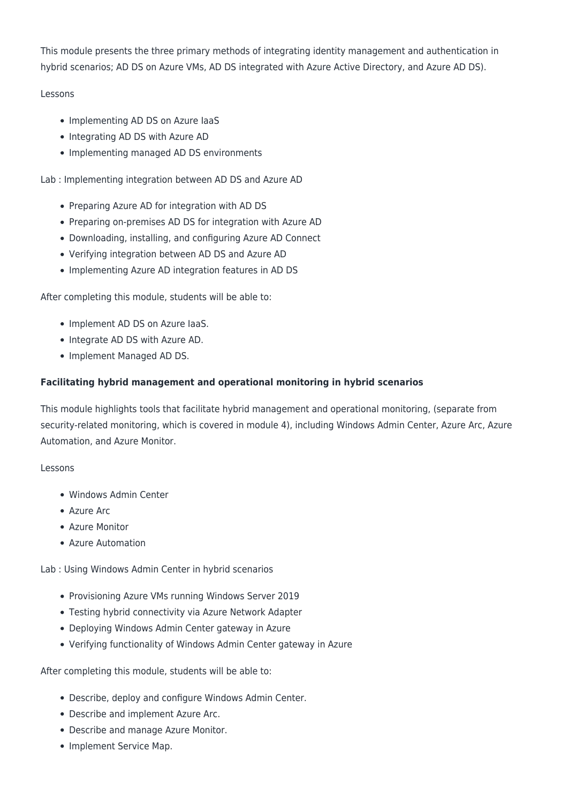This module presents the three primary methods of integrating identity management and authentication in hybrid scenarios; AD DS on Azure VMs, AD DS integrated with Azure Active Directory, and Azure AD DS).

#### Lessons

- Implementing AD DS on Azure laaS
- Integrating AD DS with Azure AD
- Implementing managed AD DS environments

Lab : Implementing integration between AD DS and Azure AD

- Preparing Azure AD for integration with AD DS
- Preparing on-premises AD DS for integration with Azure AD
- Downloading, installing, and configuring Azure AD Connect
- Verifying integration between AD DS and Azure AD
- Implementing Azure AD integration features in AD DS

After completing this module, students will be able to:

- Implement AD DS on Azure laaS.
- Integrate AD DS with Azure AD.
- Implement Managed AD DS.

#### **Facilitating hybrid management and operational monitoring in hybrid scenarios**

This module highlights tools that facilitate hybrid management and operational monitoring, (separate from security-related monitoring, which is covered in module 4), including Windows Admin Center, Azure Arc, Azure Automation, and Azure Monitor.

#### Lessons

- Windows Admin Center
- Azure Arc
- Azure Monitor
- Azure Automation

Lab : Using Windows Admin Center in hybrid scenarios

- Provisioning Azure VMs running Windows Server 2019
- Testing hybrid connectivity via Azure Network Adapter
- Deploying Windows Admin Center gateway in Azure
- Verifying functionality of Windows Admin Center gateway in Azure

After completing this module, students will be able to:

- Describe, deploy and configure Windows Admin Center.
- Describe and implement Azure Arc.
- Describe and manage Azure Monitor.
- Implement Service Map.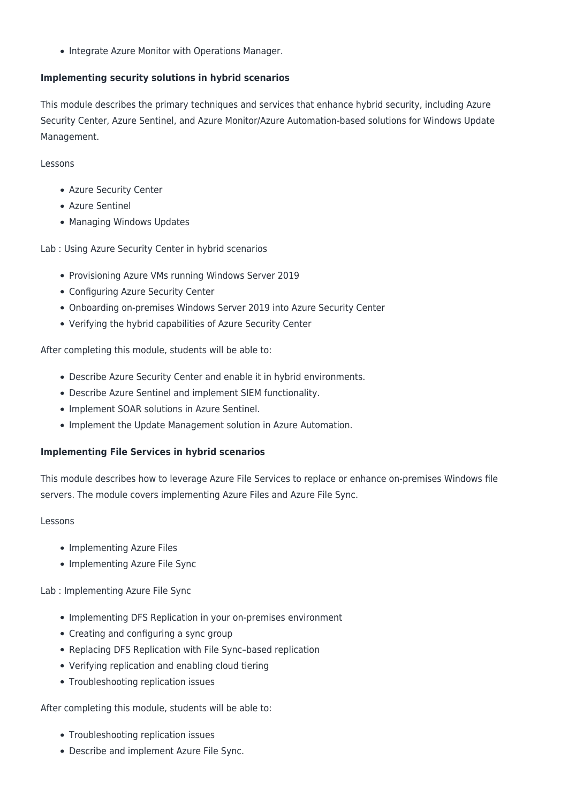• Integrate Azure Monitor with Operations Manager.

#### **Implementing security solutions in hybrid scenarios**

This module describes the primary techniques and services that enhance hybrid security, including Azure Security Center, Azure Sentinel, and Azure Monitor/Azure Automation-based solutions for Windows Update Management.

#### Lessons

- Azure Security Center
- Azure Sentinel
- Managing Windows Updates

Lab : Using Azure Security Center in hybrid scenarios

- Provisioning Azure VMs running Windows Server 2019
- Configuring Azure Security Center
- Onboarding on-premises Windows Server 2019 into Azure Security Center
- Verifying the hybrid capabilities of Azure Security Center

After completing this module, students will be able to:

- Describe Azure Security Center and enable it in hybrid environments.
- Describe Azure Sentinel and implement SIEM functionality.
- Implement SOAR solutions in Azure Sentinel.
- Implement the Update Management solution in Azure Automation.

#### **Implementing File Services in hybrid scenarios**

This module describes how to leverage Azure File Services to replace or enhance on-premises Windows file servers. The module covers implementing Azure Files and Azure File Sync.

#### Lessons

- Implementing Azure Files
- Implementing Azure File Sync

Lab : Implementing Azure File Sync

- Implementing DFS Replication in your on-premises environment
- Creating and configuring a sync group
- Replacing DFS Replication with File Sync–based replication
- Verifying replication and enabling cloud tiering
- Troubleshooting replication issues

After completing this module, students will be able to:

- Troubleshooting replication issues
- Describe and implement Azure File Sync.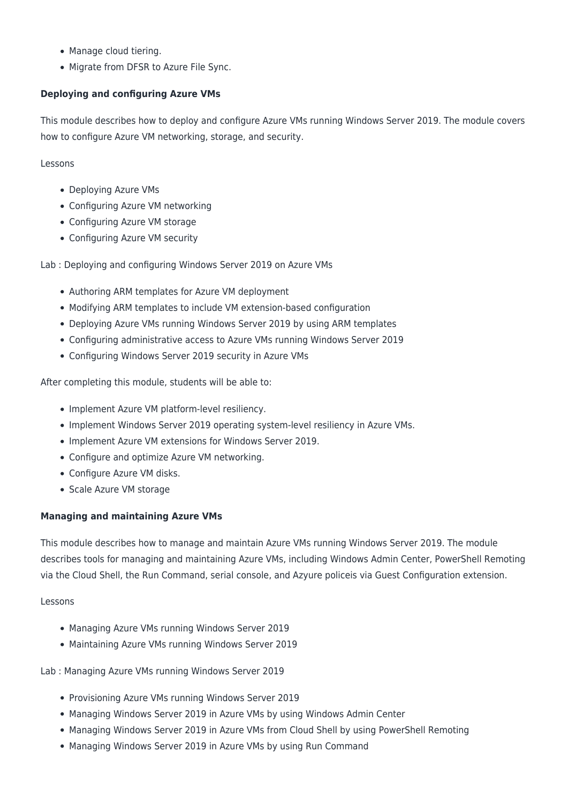- Manage cloud tiering.
- Migrate from DFSR to Azure File Sync.

#### **Deploying and configuring Azure VMs**

This module describes how to deploy and configure Azure VMs running Windows Server 2019. The module covers how to configure Azure VM networking, storage, and security.

Lessons

- Deploying Azure VMs
- Configuring Azure VM networking
- Configuring Azure VM storage
- Configuring Azure VM security

Lab : Deploying and configuring Windows Server 2019 on Azure VMs

- Authoring ARM templates for Azure VM deployment
- Modifying ARM templates to include VM extension-based configuration
- Deploying Azure VMs running Windows Server 2019 by using ARM templates
- Configuring administrative access to Azure VMs running Windows Server 2019
- Configuring Windows Server 2019 security in Azure VMs

After completing this module, students will be able to:

- Implement Azure VM platform-level resiliency.
- Implement Windows Server 2019 operating system-level resiliency in Azure VMs.
- Implement Azure VM extensions for Windows Server 2019.
- Configure and optimize Azure VM networking.
- Configure Azure VM disks.
- Scale Azure VM storage

#### **Managing and maintaining Azure VMs**

This module describes how to manage and maintain Azure VMs running Windows Server 2019. The module describes tools for managing and maintaining Azure VMs, including Windows Admin Center, PowerShell Remoting via the Cloud Shell, the Run Command, serial console, and Azyure policeis via Guest Configuration extension.

#### Lessons

- Managing Azure VMs running Windows Server 2019
- Maintaining Azure VMs running Windows Server 2019

Lab : Managing Azure VMs running Windows Server 2019

- Provisioning Azure VMs running Windows Server 2019
- Managing Windows Server 2019 in Azure VMs by using Windows Admin Center
- Managing Windows Server 2019 in Azure VMs from Cloud Shell by using PowerShell Remoting
- Managing Windows Server 2019 in Azure VMs by using Run Command